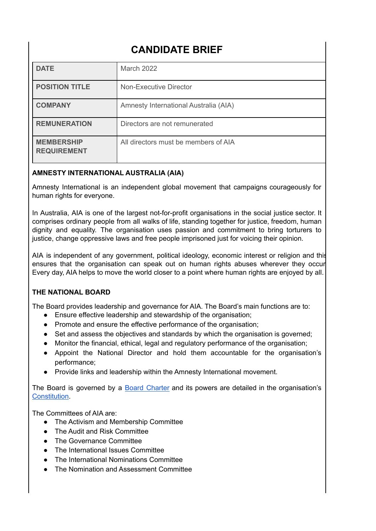# **CANDIDATE BRIEF**

| <b>DATE</b>                             | March 2022                            |
|-----------------------------------------|---------------------------------------|
| <b>POSITION TITLE</b>                   | <b>Non-Executive Director</b>         |
| <b>COMPANY</b>                          | Amnesty International Australia (AIA) |
| <b>REMUNERATION</b>                     | Directors are not remunerated         |
| <b>MEMBERSHIP</b><br><b>REQUIREMENT</b> | All directors must be members of AIA  |

# **AMNESTY INTERNATIONAL AUSTRALIA (AIA)**

Amnesty International is an independent global movement that campaigns courageously for human rights for everyone.

In Australia, AIA is one of the largest not-for-profit organisations in the social justice sector. It comprises ordinary people from all walks of life, standing together for justice, freedom, human dignity and equality. The organisation uses passion and commitment to bring torturers to justice, change oppressive laws and free people imprisoned just for voicing their opinion.

AIA is independent of any government, political ideology, economic interest or religion and this ensures that the organisation can speak out on human rights abuses wherever they occur Every day, AIA helps to move the world closer to a point where human rights are enjoyed by all.

# **THE NATIONAL BOARD**

The Board provides leadership and governance for AIA. The Board's main functions are to:

- Ensure effective leadership and stewardship of the organisation;
- Promote and ensure the effective performance of the organisation;
- Set and assess the objectives and standards by which the organisation is governed;
- Monitor the financial, ethical, legal and regulatory performance of the organisation;
- Appoint the National Director and hold them accountable for the organisation's performance;
- Provide links and leadership within the Amnesty International movement.

The Board is governed by a Board [Charter](https://www.amnesty.org.au/wp-content/uploads/2019/08/Board-Charter-June-2019.pdf) and its powers are detailed in the organisation's [Constitution](https://www.amnesty.org.au/wp-content/uploads/2021/07/Amnesty-International-Australia-Constitution-2021-final.pdf).

The Committees of AIA are:

- The Activism and Membership Committee
- The Audit and Risk Committee
- The Governance Committee
- **●** The International Issues Committee
- The International Nominations Committee
- **●** The Nomination and Assessment Committee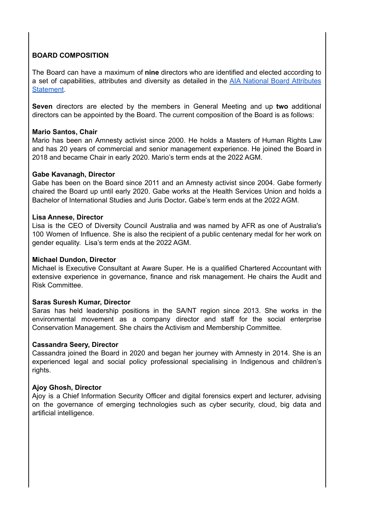# **BOARD COMPOSITION**

The Board can have a maximum of **nine** directors who are identified and elected according to a set of capabilities, attributes and diversity as detailed in the AIA National Board [Attributes](https://www.amnesty.org.au/wp-content/uploads/2022/03/National-Board-Attributes-Statement-2022.pdf) [Statement](https://www.amnesty.org.au/wp-content/uploads/2022/03/National-Board-Attributes-Statement-2022.pdf).

**Seven** directors are elected by the members in General Meeting and up **two** additional directors can be appointed by the Board. The current composition of the Board is as follows:

### **Mario Santos, Chair**

Mario has been an Amnesty activist since 2000. He holds a Masters of Human Rights Law and has 20 years of commercial and senior management experience. He joined the Board in 2018 and became Chair in early 2020. Mario's term ends at the 2022 AGM.

#### **Gabe Kavanagh, Director**

Gabe has been on the Board since 2011 and an Amnesty activist since 2004. Gabe formerly chaired the Board up until early 2020. Gabe works at the Health Services Union and holds a Bachelor of International Studies and Juris Doctor**.** Gabe's term ends at the 2022 AGM.

#### **Lisa Annese, Director**

Lisa is the CEO of Diversity Council Australia and was named by AFR as one of Australia's 100 Women of Influence. She is also the recipient of a public centenary medal for her work on gender equality. Lisa's term ends at the 2022 AGM.

#### **Michael Dundon, Director**

Michael is Executive Consultant at Aware Super. He is a qualified Chartered Accountant with extensive experience in governance, finance and risk management. He chairs the Audit and Risk Committee.

## **Saras Suresh Kumar, Director**

Saras has held leadership positions in the SA/NT region since 2013. She works in the environmental movement as a company director and staff for the social enterprise Conservation Management. She chairs the Activism and Membership Committee.

#### **Cassandra Seery, Director**

Cassandra joined the Board in 2020 and began her journey with Amnesty in 2014. She is an experienced legal and social policy professional specialising in Indigenous and children's rights.

## **Ajoy Ghosh, Director**

Ajoy is a Chief Information Security Officer and digital forensics expert and lecturer, advising on the governance of emerging technologies such as cyber security, cloud, big data and artificial intelligence.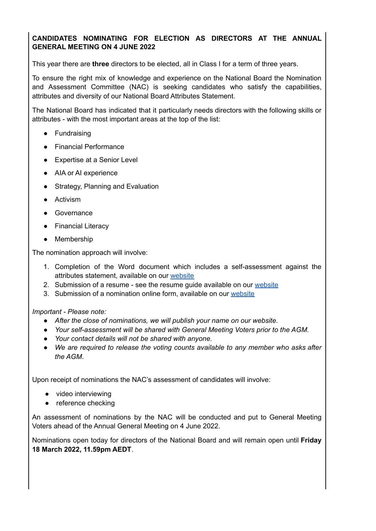# **CANDIDATES NOMINATING FOR ELECTION AS DIRECTORS AT THE ANNUAL GENERAL MEETING ON 4 JUNE 2022**

This year there are **three** directors to be elected, all in Class I for a term of three years.

To ensure the right mix of knowledge and experience on the National Board the Nomination and Assessment Committee (NAC) is seeking candidates who satisfy the capabilities, attributes and diversity of our National Board Attributes Statement.

The National Board has indicated that it particularly needs directors with the following skills or attributes - with the most important areas at the top of the list:

- Fundraising
- Financial Performance
- Expertise at a Senior Level
- AIA or AI experience
- Strategy, Planning and Evaluation
- Activism
- Governance
- Financial Literacy
- Membership

The nomination approach will involve:

- 1. Completion of the Word document which includes a self-assessment against the attributes statement, available on our [website](https://www.amnesty.org.au/how-it-works/how-were-run/our-people-2/)
- 2. Submission of a resume see the resume guide available on our [website](https://www.amnesty.org.au/how-it-works/how-were-run/our-people-2/)
- 3. Submission of a nomination online form, available on our [website](https://www.amnesty.org.au/how-it-works/how-were-run/our-people-2/)

## *Important - Please note:*

- *● After the close of nominations, we will publish your name on our website.*
- *● Your self-assessment will be shared with General Meeting Voters prior to the AGM.*
- *● Your contact details will not be shared with anyone.*
- *● We are required to release the voting counts available to any member who asks after the AGM.*

Upon receipt of nominations the NAC's assessment of candidates will involve:

- video interviewing
- reference checking

An assessment of nominations by the NAC will be conducted and put to General Meeting Voters ahead of the Annual General Meeting on 4 June 2022.

Nominations open today for directors of the National Board and will remain open until **Friday 18 March 2022, 11.59pm AEDT**.